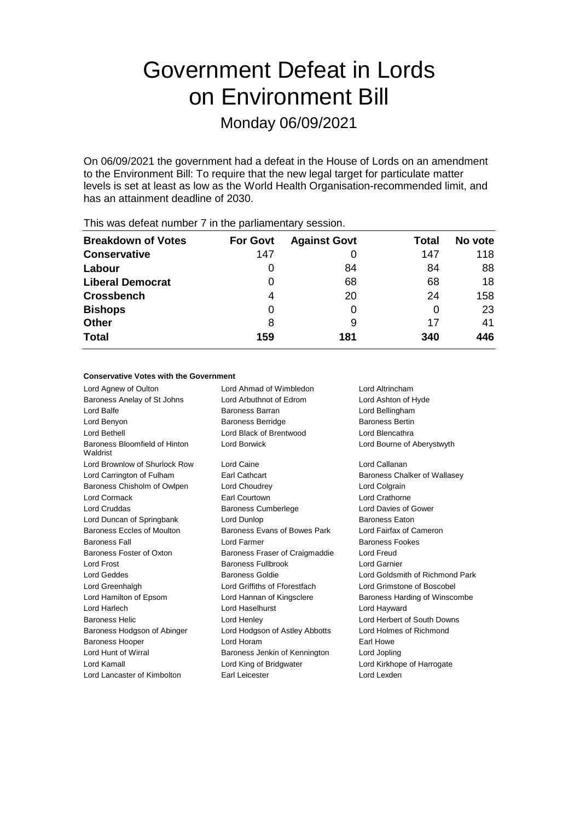# Government Defeat in Lords on Environment Bill

Monday 06/09/2021

On 06/09/2021 the government had a defeat in the House of Lords on an amendment to the Environment Bill: To require that the new legal target for particulate matter levels is set at least as low as the World Health Organisation-recommended limit, and has an attainment deadline of 2030.

| <b>Breakdown of Votes</b> | <b>For Govt</b> | <b>Against Govt</b> | Total | No vote |
|---------------------------|-----------------|---------------------|-------|---------|
| <b>Conservative</b>       | 147             |                     | 147   | 118     |
| Labour                    | $\Omega$        | 84                  | 84    | 88      |
| <b>Liberal Democrat</b>   | 0               | 68                  | 68    | 18      |
| <b>Crossbench</b>         | 4               | 20                  | 24    | 158     |
| <b>Bishops</b>            | 0               |                     | O     | 23      |
| <b>Other</b>              | 8               | 9                   | 17    | 41      |
| <b>Total</b>              | 159             | 181                 | 340   | 446     |

This was defeat number 7 in the parliamentary session.

#### **Conservative Votes with the Government**

Lord Agnew of Oulton Lord Ahmad of Wimbledon Lord Altrincham Baroness Anelay of St Johns Lord Arbuthnot of Edrom Lord Ashton of Hyde Lord Balfe **Baroness Barran** Baroness Barran **Lord Bellingham** Lord Benyon **Baroness Berridge** Baroness Bertin Baroness Bertin Lord Bethell Lord Black of Brentwood Lord Blencathra Baroness Bloomfield of Hinton Waldrist Lord Borwick Lord Bourne of Aberystwyth Lord Brownlow of Shurlock Row Lord Caine Lord Callanan Lord Carrington of Fulham **Earl Cathcart** Baroness Chalker of Wallasey Baroness Chisholm of Owlpen Lord Choudrey Lord Colgrain Lord Cormack Earl Courtown Lord Crathorne Lord Cruddas Baroness Cumberlege Lord Davies of Gower Lord Duncan of Springbank Lord Dunlop **Baroness Eaton** Baroness Eccles of Moulton Baroness Evans of Bowes Park Lord Fairfax of Cameron **Baroness Fall Example 2 Lord Farmer Baroness Fookes Baroness Fookes** Baroness Foster of Oxton Baroness Fraser of Craigmaddie Lord Freud Lord Frost Baroness Fullbrook Lord Garnier Lord Geddes Baroness Goldie Lord Goldsmith of Richmond Park Lord Greenhalgh Lord Griffiths of Fforestfach Lord Grimstone of Boscobel Lord Hamilton of Epsom Lord Hannan of Kingsclere Baroness Harding of Winscombe Lord Harlech Lord Haselhurst Lord Hayward Baroness Helic Lord Henley Lord Herbert of South Downs Baroness Hodgson of Abinger Lord Hodgson of Astley Abbotts Lord Holmes of Richmond Baroness Hooper **Lord Horam Earl Howe** Earl Howe Lord Hunt of Wirral **Baroness Jenkin of Kennington** Lord Jopling Lord Kamall Lord King of Bridgwater Lord Kirkhope of Harrogate Lord Lancaster of Kimbolton **Earl Leicester Earl Leicester Lord Lexden**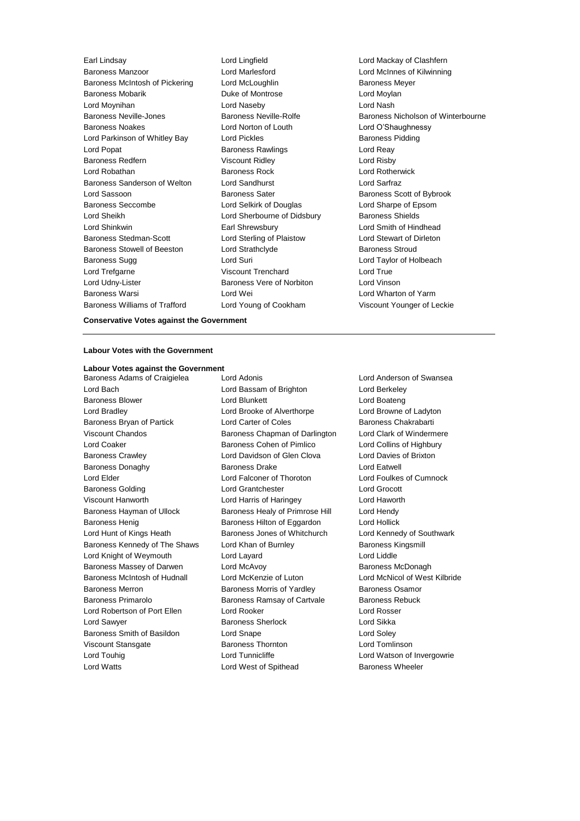Baroness Manzoor Lord Marlesford Lord McInnes of Kilwinning Baroness McIntosh of Pickering Lord McLoughlin Baroness Meyer Baroness Mobarik Duke of Montrose Lord Moylan Lord Moynihan Lord Naseby Lord Nash Baroness Noakes Lord Norton of Louth Lord O'Shaughnessy Lord Parkinson of Whitley Bay Lord Pickles Baroness Pidding Lord Popat **Baroness Rawlings** Lord Reay Baroness Redfern Viscount Ridley Correct Lord Risby Lord Robathan Baroness Rock Lord Rotherwick Baroness Sanderson of Welton Lord Sandhurst Lord Sarfraz Lord Sassoon **Baroness Sater** Baroness Scott of Bybrook Baroness Seccombe Lord Selkirk of Douglas Lord Sharpe of Epsom Lord Sheikh Lord Sherbourne of Didsbury Baroness Shields Lord Shinkwin Earl Shrewsbury Lord Smith of Hindhead Baroness Stedman-Scott Lord Sterling of Plaistow Lord Stewart of Dirleton Baroness Stowell of Beeston Lord Strathclyde Baroness Stroud Baroness Sugg Lord Suri Lord Taylor of Holbeach Lord Trefgarne **Viscount Trenchard** Lord True Lord Udny-Lister Baroness Vere of Norbiton Lord Vinson Baroness Warsi Lord Wei Lord Wharton of Yarm Baroness Williams of Trafford Lord Young of Cookham Viscount Younger of Leckie

Earl Lindsay Lord Lingfield Lord Mackay of Clashfern Baroness Neville-Jones Baroness Neville-Rolfe Baroness Nicholson of Winterbourne

#### **Conservative Votes against the Government**

## **Labour Votes with the Government**

# **Labour Votes against the Government**

Lord Bach Lord Bassam of Brighton Lord Berkeley Baroness Blower Lord Blunkett Lord Boateng Lord Bradley Lord Brooke of Alverthorpe Lord Browne of Ladyton Baroness Bryan of Partick **Lord Carter of Coles** Baroness Chakrabarti Viscount Chandos Baroness Chapman of Darlington Lord Clark of Windermere Lord Coaker **Baroness Cohen of Pimlico** Lord Collins of Highbury Baroness Crawley Lord Davidson of Glen Clova Lord Davies of Brixton Baroness Donaghy **Baroness Drake** Baroness Drake Lord Eatwell Lord Elder Lord Falconer of Thoroton Lord Foulkes of Cumnock Baroness Golding Lord Grantchester Lord Grocott Viscount Hanworth Lord Harris of Haringey Lord Haworth Baroness Hayman of Ullock Baroness Healy of Primrose Hill Lord Hendy Baroness Henig Baroness Hilton of Eggardon Lord Hollick Lord Hunt of Kings Heath **Baroness Jones of Whitchurch** Lord Kennedy of Southwark Baroness Kennedy of The Shaws Lord Khan of Burnley **Baroness Kingsmill** Lord Knight of Weymouth Lord Layard Lord Liddle Baroness Massey of Darwen Lord McAvoy Charless Massey of Darwen Lord McAvoy Charless McDonagh Baroness McIntosh of Hudnall Lord McKenzie of Luton Lord McNicol of West Kilbride Baroness Merron Baroness Morris of Yardley Baroness Osamor Baroness Primarolo **Baroness Ramsay of Cartvale** Baroness Rebuck Lord Robertson of Port Ellen Lord Rooker Lord Rosser Lord Sawver **Baroness Sherlock** Lord Sikka Baroness Smith of Basildon Lord Snape Lord Soley Viscount Stansgate Baroness Thornton Lord Tomlinson Lord Touhig Lord Tunnicliffe Lord Watson of Invergowrie

Baroness Adams of Craigielea Lord Adonis Lord Anderson of Swansea Lord Watts **Lord West of Spithead** Baroness Wheeler